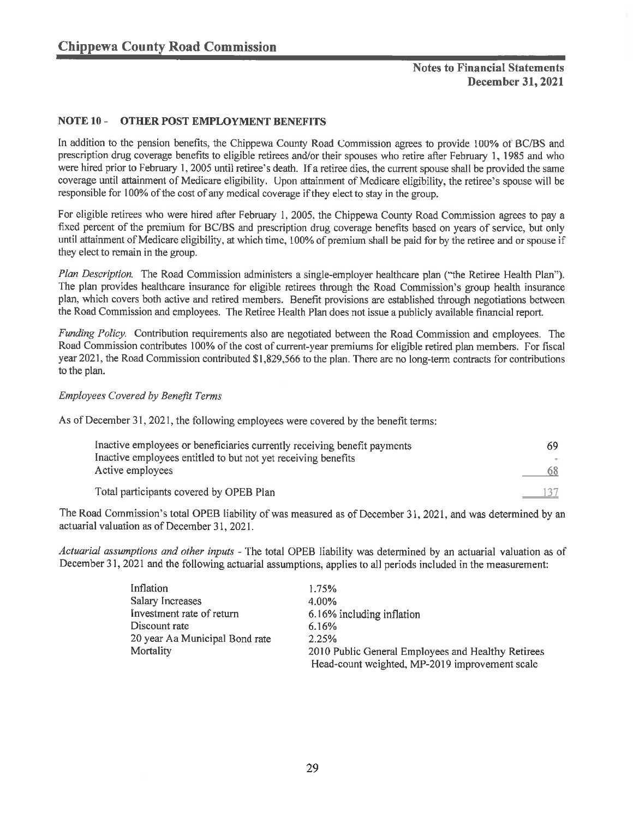## Notes to Financial Statements December 31, 2021

### NOTE 10 - OTHER POST EMPLOYMENT BENEFITS

In addition to the pension benefits, the Chippewa County Road Commission agrees to provide 100% ot BC/BS and prescription dmg coverage benefits to eligible retirees and/or their spouses who retire after February 1, 1985 and who were hired prior to February 1, 2005 until retiree's death. If a retiree dies, the current spouse shall be provided the same coverage until attainment of Medicare eligibility. Upon attainment of Medicare eligibility, the retiree's spouse will be responsible for 100% of the cost of any medical coverage if they elect to stay in the group.

For eligible retirees who were hired after February 1, 2005, the Chippewa County Road Commission agrees to pay a fixed percent of the premium for BC/BS and prescription drug coverage benefits based on years of service, but only until attainment of Medicare eligibility, at which time, 100% of premium shall be paid for by the retiree and or spouse if they elect to remain in the group.

Plan Description. The Road Commission administers a single-employer healthcare plan ("the Retiree Health Plan"). The plan provides healthcare insurance for eligible retirees through the Road Commission's group health insurance plan, which covers both active and retired members. Benefit provisions are established through negotiations between the Road Commission and employees. The Retiree Health Plan does not issue a publicly available financial report.

Funding Policy. Contribution requirements also are negotiated between the Road Commission and employees. The Road Commission contributes 100% of the cost of current-year premiums for eligible retired plan members. For fiscal year 2021, the Road Commission contributed \$1,829,566 to the plan. There are no long-term contracts for contributions to the plan.

### Employees Covered by Benefit Terms

As of December 31, 2021, the following employees were covered by the benefit terms:

| Inactive employees or beneficiaries currently receiving benefit payments | 69 |
|--------------------------------------------------------------------------|----|
| Inactive employees entitled to but not yet receiving benefits            |    |
| Active employees                                                         |    |
| Total participants covered by OPEB Plan                                  |    |

The Road Commission's total OPEB liability of was measured as of December 31, 2021, and was determined by an actuarial valuation as of December 31, 2021 .

Actuarial assumptions and other inputs - The total OPEB liability was determined by an actuarial valuation as of December 31, 2021 and the following actuarial assumptions, applies to all periods included in the measurement:

| Inflation                      | 1.75%                                              |
|--------------------------------|----------------------------------------------------|
| <b>Salary Increases</b>        | 4.00%                                              |
| Investment rate of return      | 6.16% including inflation                          |
| Discount rate                  | 6.16%                                              |
| 20 year Aa Municipal Bond rate | 2.25%                                              |
| Mortality                      | 2010 Public General Employees and Healthy Retirees |
|                                | Head-count weighted, MP-2019 improvement scale     |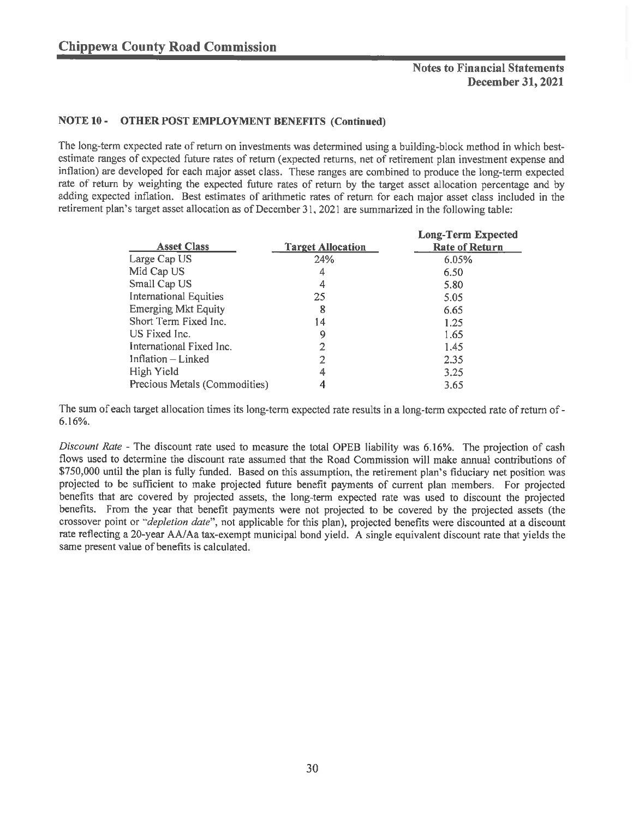## Notes to Financial Statements December 31, 2021

### NOTE 10 - OTHER POST EMPLOYMENT BENEFITS (Continued)

The long-term expected rate of return on investments was determined using a building-block method in which bestestimate ranges of expected future rates of return (expected returns, net of retirement plan investment expense and inflation) are developed for each major asset class. These ranges are combined to produce the long-term expected rate of return by weighting the expected future rates of return by the target asset allocation percentage and by adding expected inflation. Best estimates of arithmetic rates of return for each major asset class included in the retirement plan's target asset allocation as of December 31. 2021 are summarized in the following table:

|                               |                          | <b>Long-Term Expected</b> |
|-------------------------------|--------------------------|---------------------------|
| <b>Asset Class</b>            | <b>Target Allocation</b> | <b>Rate of Return</b>     |
| Large Cap US                  | 24%                      | 6.05%                     |
| Mid Cap US                    | 4                        | 6.50                      |
| Small Cap US                  | 4                        | 5.80                      |
| International Equities        | 25                       | 5.05                      |
| <b>Emerging Mkt Equity</b>    | 8                        | 6.65                      |
| Short Term Fixed Inc.         | 14                       | 1.25                      |
| US Fixed Inc.                 | 9                        | 1.65                      |
| International Fixed Inc.      |                          | 1.45                      |
| Inflation – Linked            |                          | 2.35                      |
| High Yield                    | 4                        | 3.25                      |
| Precious Metals (Commodities) |                          | 3.65                      |

The sum of each target allocation times its long-term expected rate results in a long-term expected rate of return of - 6. 16%.

Discount Rate - The discount rate used to measure the total OPEB liability was 6.16%. The projection of cash flows used to determine the discount rate assumed that the Road Commission will make annual contributions of \$750, 000 until the plan is fully funded. Based on this assumption, the retirement plan's fiduciary net position was projected to be sufficient to make projected future benefit payments of current plan members. For projected benefits that are covered by projected assets, the long-term expected rate was used to discount the projected benefits. From the year that benefit payments were not projected to be covered by the projected assets (the crossover point or "depletion date", not applicable for this plan), projected benefits were discounted at a discount rate reflecting a 20-year AA/Aa tax-exempt municipal bond yield. A single equivalent discount rate that yields the same present value of benefits is calculated.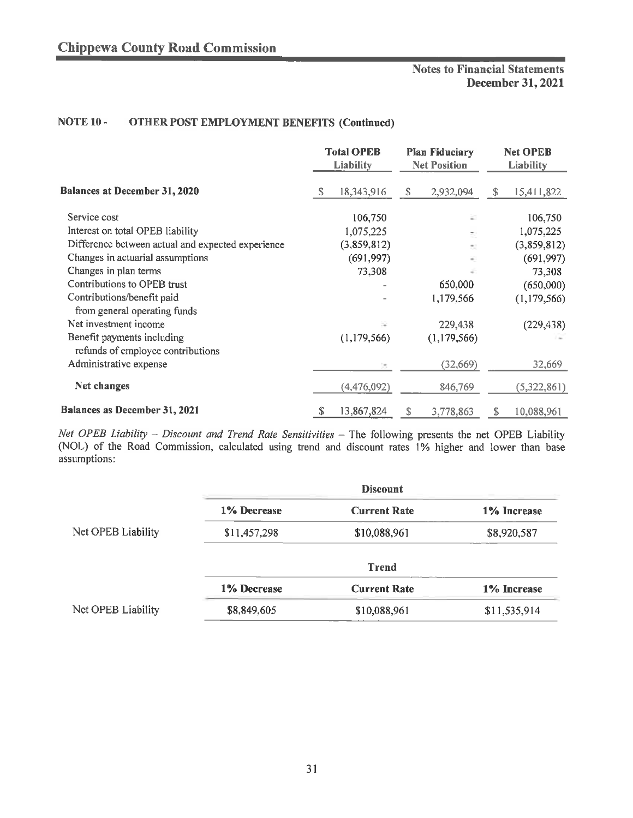# Notes to Financial Statements December 31, 2021

## NOTE 10 - OTHER POST EMPLOYMENT BENEFITS (Continued)

|                                                   |   | <b>Total OPEB</b><br>Liability |    | <b>Plan Fiduciary</b><br><b>Net Position</b> |    | <b>Net OPEB</b><br>Liability |
|---------------------------------------------------|---|--------------------------------|----|----------------------------------------------|----|------------------------------|
| Balances at December 31, 2020                     | S | 18,343,916                     | S. | 2,932,094                                    | S. | 15,411,822                   |
| Service cost                                      |   | 106,750                        |    |                                              |    | 106,750                      |
| Interest on total OPEB liability                  |   | 1,075,225                      |    |                                              |    | 1,075,225                    |
| Difference between actual and expected experience |   | (3,859,812)                    |    |                                              |    | (3,859,812)                  |
| Changes in actuarial assumptions                  |   | (691, 997)                     |    |                                              |    | (691, 997)                   |
| Changes in plan terms                             |   | 73,308                         |    |                                              |    | 73,308                       |
| Contributions to OPEB trust                       |   |                                |    | 650,000                                      |    | (650,000)                    |
| Contributions/benefit paid                        |   |                                |    | 1,179,566                                    |    | (1, 179, 566)                |
| from general operating funds                      |   |                                |    |                                              |    |                              |
| Net investment income                             |   |                                |    | 229,438                                      |    | (229, 438)                   |
| Benefit payments including                        |   | (1, 179, 566)                  |    | (1, 179, 566)                                |    |                              |
| refunds of employee contributions                 |   |                                |    |                                              |    |                              |
| Administrative expense                            |   |                                |    | (32,669)                                     |    | 32,669                       |
| Net changes                                       |   | (4,476,092)                    |    | 846,769                                      |    | (5,322,861)                  |
| Balances as December 31, 2021                     | S | 13,867,824                     | s  | 3,778,863                                    | S  | 10,088,961                   |

Net OPEB Liability  $-$  Discount and Trend Rate Sensitivities  $-$  The following presents the net OPEB Liability (NOL) of the Road Commission. calculated using trend and discount rates 1% higher and lower than base assumptions:

|                    |              | <b>Discount</b>     |              |
|--------------------|--------------|---------------------|--------------|
|                    | 1% Decrease  | <b>Current Rate</b> | 1% Increase  |
| Net OPEB Liability | \$11,457,298 | \$10,088,961        | \$8,920,587  |
|                    |              | <b>Trend</b>        |              |
|                    | 1% Decrease  | <b>Current Rate</b> | 1% Increase  |
| Net OPEB Liability | \$8,849,605  | \$10,088,961        | \$11,535,914 |